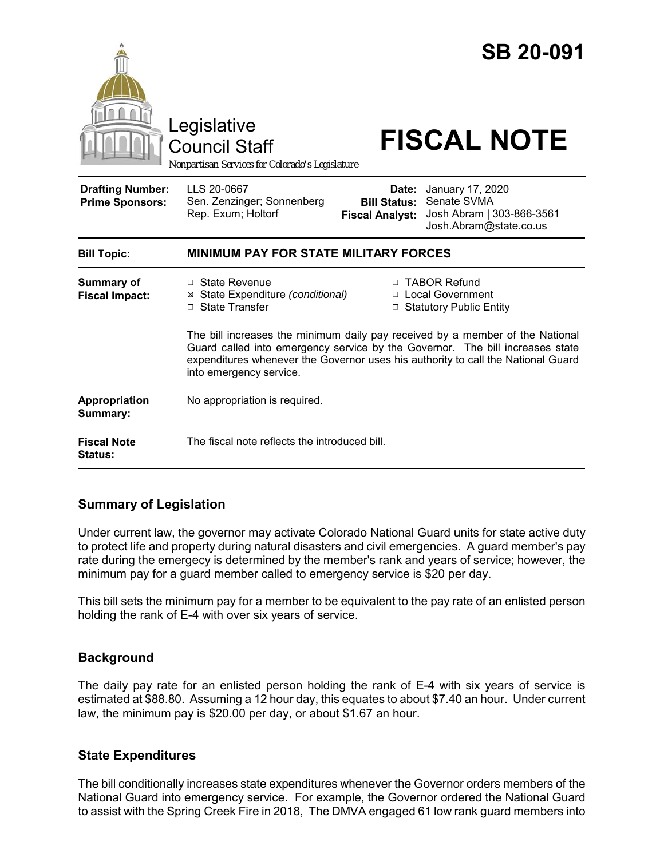

## **Summary of Legislation**

Under current law, the governor may activate Colorado National Guard units for state active duty to protect life and property during natural disasters and civil emergencies. A guard member's pay rate during the emergecy is determined by the member's rank and years of service; however, the minimum pay for a guard member called to emergency service is \$20 per day.

This bill sets the minimum pay for a member to be equivalent to the pay rate of an enlisted person holding the rank of E-4 with over six years of service.

#### **Background**

The daily pay rate for an enlisted person holding the rank of E-4 with six years of service is estimated at \$88.80. Assuming a 12 hour day, this equates to about \$7.40 an hour. Under current law, the minimum pay is \$20.00 per day, or about \$1.67 an hour.

#### **State Expenditures**

The bill conditionally increases state expenditures whenever the Governor orders members of the National Guard into emergency service. For example, the Governor ordered the National Guard to assist with the Spring Creek Fire in 2018, The DMVA engaged 61 low rank guard members into